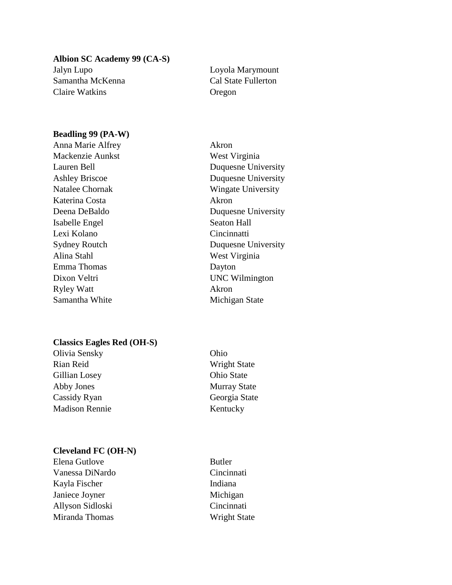**Albion SC Academy 99 (CA-S)** Jalyn Lupo Loyola Marymount Samantha McKenna Cal State Fullerton Claire Watkins Oregon

### **Beadling 99 (PA-W)**

Anna Marie Alfrey **Akron** Mackenzie Aunkst West Virginia Katerina Costa **Akron** Isabelle Engel Seaton Hall Lexi Kolano Cincinnatti Alina Stahl West Virginia Emma Thomas Dayton Ryley Watt Akron Samantha White Michigan State

#### **Classics Eagles Red (OH-S)**

Olivia Sensky Ohio Rian Reid Wright State Gillian Losey Ohio State Abby Jones Murray State Cassidy Ryan Georgia State Madison Rennie Kentucky

## **Cleveland FC (OH-N)**

Elena Gutlove Butler Vanessa DiNardo Cincinnati Kayla Fischer Indiana Janiece Joyner Michigan Allyson Sidloski Cincinnati Miranda Thomas Wright State

Lauren Bell Duquesne University Ashley Briscoe Duquesne University Natalee Chornak Wingate University Deena DeBaldo Duquesne University Sydney Routch Duquesne University Dixon Veltri UNC Wilmington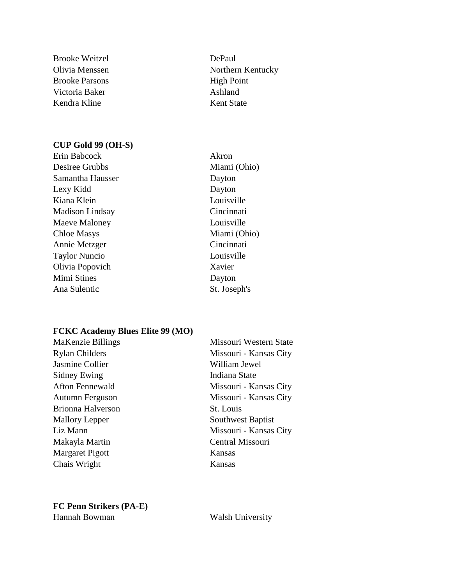Brooke Weitzel DePaul Brooke Parsons High Point Victoria Baker Ashland Kendra Kline Kent State

#### **CUP Gold 99 (OH-S)**

- Erin Babcock Akron Desiree Grubbs Miami (Ohio) Samantha Hausser Dayton Lexy Kidd Dayton Kiana Klein Louisville Madison Lindsay Cincinnati Maeve Maloney **Louisville** Chloe Masys Miami (Ohio) Annie Metzger Cincinnati Taylor Nuncio Louisville Olivia Popovich Xavier Mimi Stines Dayton Ana Sulentic St. Joseph's
- Olivia Menssen Northern Kentucky
	-

# **FCKC Academy Blues Elite 99 (MO)**

| MaKenzie Billings      | Missouri Western State |
|------------------------|------------------------|
| <b>Rylan Childers</b>  | Missouri - Kansas City |
| Jasmine Collier        | William Jewel          |
| Sidney Ewing           | Indiana State          |
| <b>Afton Fennewald</b> | Missouri - Kansas City |
| Autumn Ferguson        | Missouri - Kansas City |
| Brionna Halverson      | St. Louis              |
| <b>Mallory Lepper</b>  | Southwest Baptist      |
| Liz Mann               | Missouri - Kansas City |
| Makayla Martin         | Central Missouri       |
| <b>Margaret Pigott</b> | Kansas                 |
| Chais Wright           | Kansas                 |

# **FC Penn Strikers (PA-E)** Hannah Bowman Walsh University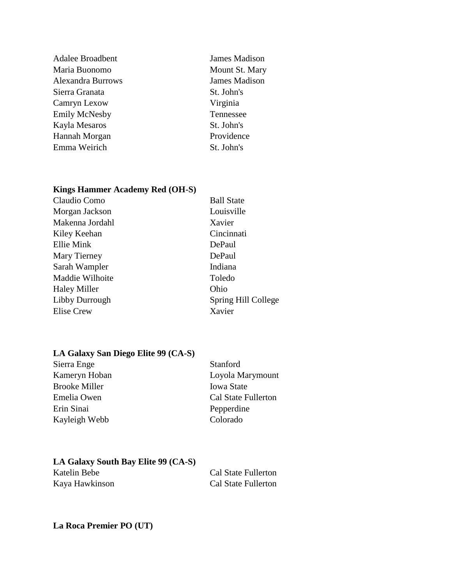Adalee Broadbent James Madison Maria Buonomo Mount St. Mary Alexandra Burrows James Madison Sierra Granata St. John's Camryn Lexow Virginia Emily McNesby Tennessee Kayla Mesaros St. John's Hannah Morgan Providence Emma Weirich St. John's

## **Kings Hammer Academy Red (OH-S)**

| Claudio Como        | <b>Ball State</b>   |
|---------------------|---------------------|
| Morgan Jackson      | Louisville          |
| Makenna Jordahl     | Xavier              |
| Kiley Keehan        | Cincinnati          |
| Ellie Mink          | DePaul              |
| Mary Tierney        | DePaul              |
| Sarah Wampler       | Indiana             |
| Maddie Wilhoite     | Toledo              |
| <b>Haley Miller</b> | Ohio                |
| Libby Durrough      | Spring Hill College |
| <b>Elise Crew</b>   | Xavier              |
|                     |                     |

## **LA Galaxy San Diego Elite 99 (CA-S)**

Sierra Enge Stanford Kameryn Hoban Loyola Marymount Brooke Miller **Iowa State** Emelia Owen Cal State Fullerton Erin Sinai Pepperdine Kayleigh Webb Colorado

# **LA Galaxy South Bay Elite 99 (CA-S)**

| Katelin Bebe   | Cal State Fullerton |
|----------------|---------------------|
| Kaya Hawkinson | Cal State Fullerton |

# **La Roca Premier PO (UT)**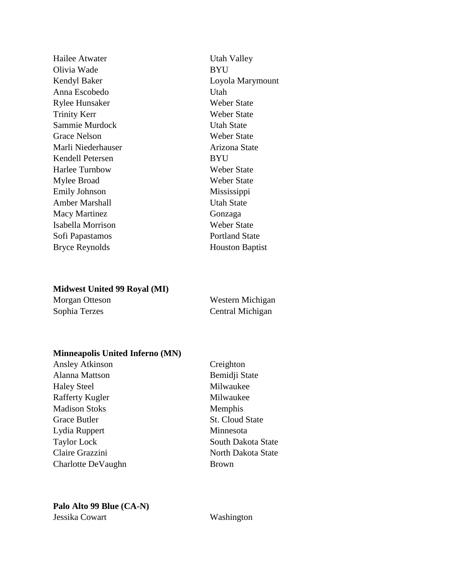Hailee Atwater Utah Valley Olivia Wade BYU Kendyl Baker Loyola Marymount Anna Escobedo Utah Rylee Hunsaker Weber State Trinity Kerr Weber State Sammie Murdock Utah State Grace Nelson Weber State Marli Niederhauser **Arizona** State Kendell Petersen BYU Harlee Turnbow Weber State Mylee Broad Weber State Emily Johnson Mississippi Amber Marshall Utah State Macy Martinez Gonzaga Isabella Morrison Weber State Sofi Papastamos Portland State

Bryce Reynolds Houston Baptist

### **Midwest United 99 Royal (MI)**

| Morgan Otteson | Western Michigan |
|----------------|------------------|
| Sophia Terzes  | Central Michigan |

#### **Minneapolis United Inferno (MN)**

Ansley Atkinson Creighton Alanna Mattson Bemidji State Haley Steel Milwaukee Rafferty Kugler Milwaukee Madison Stoks Memphis Grace Butler St. Cloud State Lydia Ruppert Minnesota Taylor Lock South Dakota State Claire Grazzini North Dakota State Charlotte DeVaughn Brown

# **Palo Alto 99 Blue (CA-N)** Jessika Cowart Washington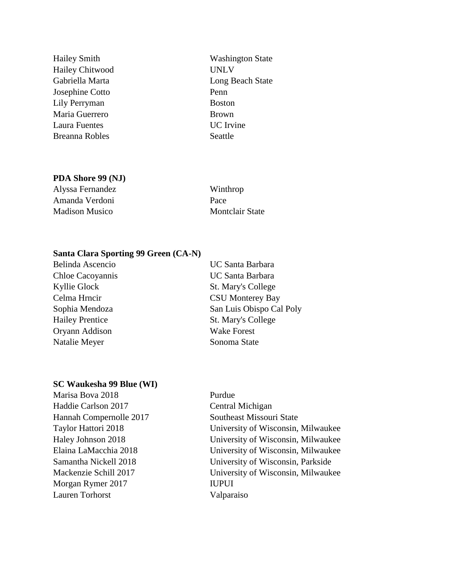Hailey Chitwood UNLV Josephine Cotto Penn Lily Perryman Boston Maria Guerrero Brown Laura Fuentes UC Irvine Breanna Robles Seattle

Hailey Smith Washington State Gabriella Marta **Long Beach State** 

#### **PDA Shore 99 (NJ)**

Alyssa Fernandez Winthrop Amanda Verdoni Pace Madison Musico Montclair State

### **Santa Clara Sporting 99 Green (CA-N)**

| Belinda Ascencio       | <b>UC Santa Barbara</b>  |
|------------------------|--------------------------|
| Chloe Cacoyannis       | <b>UC Santa Barbara</b>  |
| Kyllie Glock           | St. Mary's College       |
| Celma Hrncir           | <b>CSU Monterey Bay</b>  |
| Sophia Mendoza         | San Luis Obispo Cal Poly |
| <b>Hailey Prentice</b> | St. Mary's College       |
| Oryann Addison         | <b>Wake Forest</b>       |
| Natalie Meyer          | Sonoma State             |
|                        |                          |

## **SC Waukesha 99 Blue (WI)**

Marisa Bova 2018 Purdue Haddie Carlson 2017 Central Michigan Hannah Compernolle 2017 Southeast Missouri State Morgan Rymer 2017 IUPUI Lauren Torhorst Valparaiso

Taylor Hattori 2018 University of Wisconsin, Milwaukee Haley Johnson 2018 University of Wisconsin, Milwaukee Elaina LaMacchia 2018 University of Wisconsin, Milwaukee Samantha Nickell 2018 University of Wisconsin, Parkside Mackenzie Schill 2017 University of Wisconsin, Milwaukee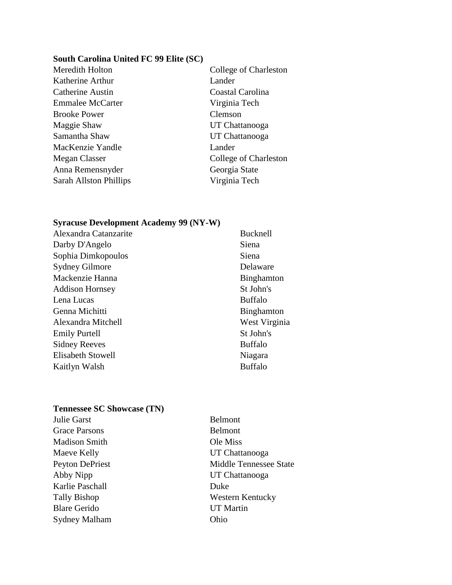#### **South Carolina United FC 99 Elite (SC)**

Katherine Arthur Lander Catherine Austin Coastal Carolina Emmalee McCarter Virginia Tech Brooke Power Clemson Maggie Shaw UT Chattanooga Samantha Shaw UT Chattanooga MacKenzie Yandle Lander Anna Remensnyder Georgia State Sarah Allston Phillips Virginia Tech

Meredith Holton College of Charleston Megan Classer College of Charleston

#### **Syracuse Development Academy 99 (NY-W)**

| Alexandra Catanzarite  | <b>Bucknell</b>   |
|------------------------|-------------------|
| Darby D'Angelo         | Siena             |
| Sophia Dimkopoulos     | Siena             |
| <b>Sydney Gilmore</b>  | Delaware          |
| Mackenzie Hanna        | <b>Binghamton</b> |
| <b>Addison Hornsey</b> | St John's         |
| Lena Lucas             | <b>Buffalo</b>    |
| Genna Michitti         | <b>Binghamton</b> |
| Alexandra Mitchell     | West Virginia     |
| <b>Emily Purtell</b>   | St John's         |
| <b>Sidney Reeves</b>   | <b>Buffalo</b>    |
| Elisabeth Stowell      | Niagara           |
| Kaitlyn Walsh          | Buffalo           |
|                        |                   |

#### **Tennessee SC Showcase (TN)**

Julie Garst Belmont Grace Parsons Belmont Madison Smith Ole Miss Maeve Kelly UT Chattanooga Abby Nipp UT Chattanooga Karlie Paschall Duke Blare Gerido UT Martin Sydney Malham Ohio

Peyton DePriest Middle Tennessee State Tally Bishop Western Kentucky